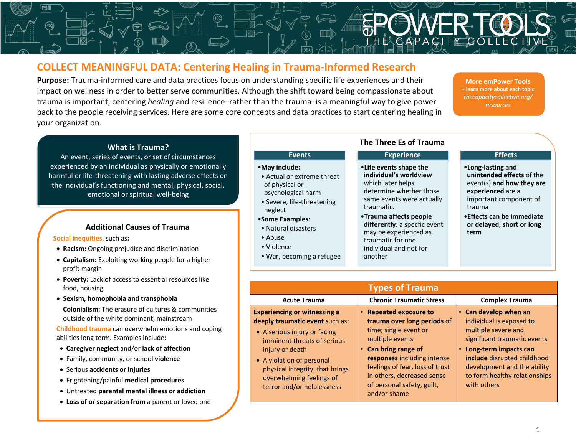# **COLLECT MEANINGFUL DATA: Centering Healing in Trauma-Informed Research**

**Purpose:** Trauma-informed care and data practices focus on understanding specific life experiences and their impact on wellness in order to better serve communities. Although the shift toward being compassionate about trauma is important, centering *healing* and resilience–rather than the trauma–is a meaningful way to give power back to the people receiving services. Here are some core concepts and data practices to start centering healing in your organization.

**More emPower Tools + learn more about each topic** *thecapacitycollective.org/ resources*

### **What is Trauma?**

An event, series of events, or set of circumstances experienced by an individual as physically or emotionally harmful or life-threatening with lasting adverse effects on the individual's functioning and mental, physical, social, emotional or spiritual well-being

#### **Additional Causes of Trauma**

#### **Social inequities**, such as**:**

- **Racism:** Ongoing prejudice and discrimination
- **Capitalism:** Exploiting working people for a higher profit margin
- **Poverty:** Lack of access to essential resources like food, housing
- **Sexism, homophobia and transphobia** • **Colonialism:** The erasure of cultures & communities outside of the white dominant, mainstream

**Childhood trauma** can overwhelm emotions and coping abilities long term. Examples include:

- **Caregiver neglect** and/or **lack of affection**
- Family, community, or school **violence**
- Serious **accidents or injuries**
- Frightening/painful **medical procedures**
- Untreated **parental mental illness or addiction**
- **Loss of or separation from** a parent or loved one

#### **Events**

#### •**May include:**

- Actual or extreme threat of physical or psychological harm
- Severe, life-threatening neglect
- •**Some Examples**:
- Natural disasters
- Abuse
- Violence
- War, becoming a refugee

## **The Three Es of Trauma**

#### **Experience**

•**Life events shape the individual's worldview**  which later helps determine whether those same events were actually traumatic.

•**Trauma affects people differently**: a specfic event may be experienced as traumatic for one individual and not for another

#### **Effects**

- •**Long-lasting and unintended effects** of the event(s) **and how they are experienced** are a important component of trauma
- •**Effects can be immediate or delayed, short or long term**

| <b>Types of Trauma</b>                                                                                                                                   |                                                                                                                                             |                                                                                                                                     |
|----------------------------------------------------------------------------------------------------------------------------------------------------------|---------------------------------------------------------------------------------------------------------------------------------------------|-------------------------------------------------------------------------------------------------------------------------------------|
| <b>Acute Trauma</b>                                                                                                                                      | <b>Chronic Traumatic Stress</b>                                                                                                             | <b>Complex Trauma</b>                                                                                                               |
| <b>Experiencing or witnessing a</b><br>deeply traumatic event such as:<br>• A serious injury or facing<br>imminent threats of serious<br>injury or death | <b>Repeated exposure to</b><br>$\bullet$<br>trauma over long periods of<br>time; single event or<br>multiple events<br>• Can bring range of | • Can develop when an<br>individual is exposed to<br>multiple severe and<br>significant traumatic events<br>• Long-term impacts can |
| • A violation of personal<br>physical integrity, that brings<br>overwhelming feelings of<br>terror and/or helplessness                                   | responses including intense<br>feelings of fear, loss of trust<br>in others, decreased sense<br>of personal safety, guilt,<br>and/or shame  | include disrupted childhood<br>development and the ability<br>to form healthy relationships<br>with others                          |